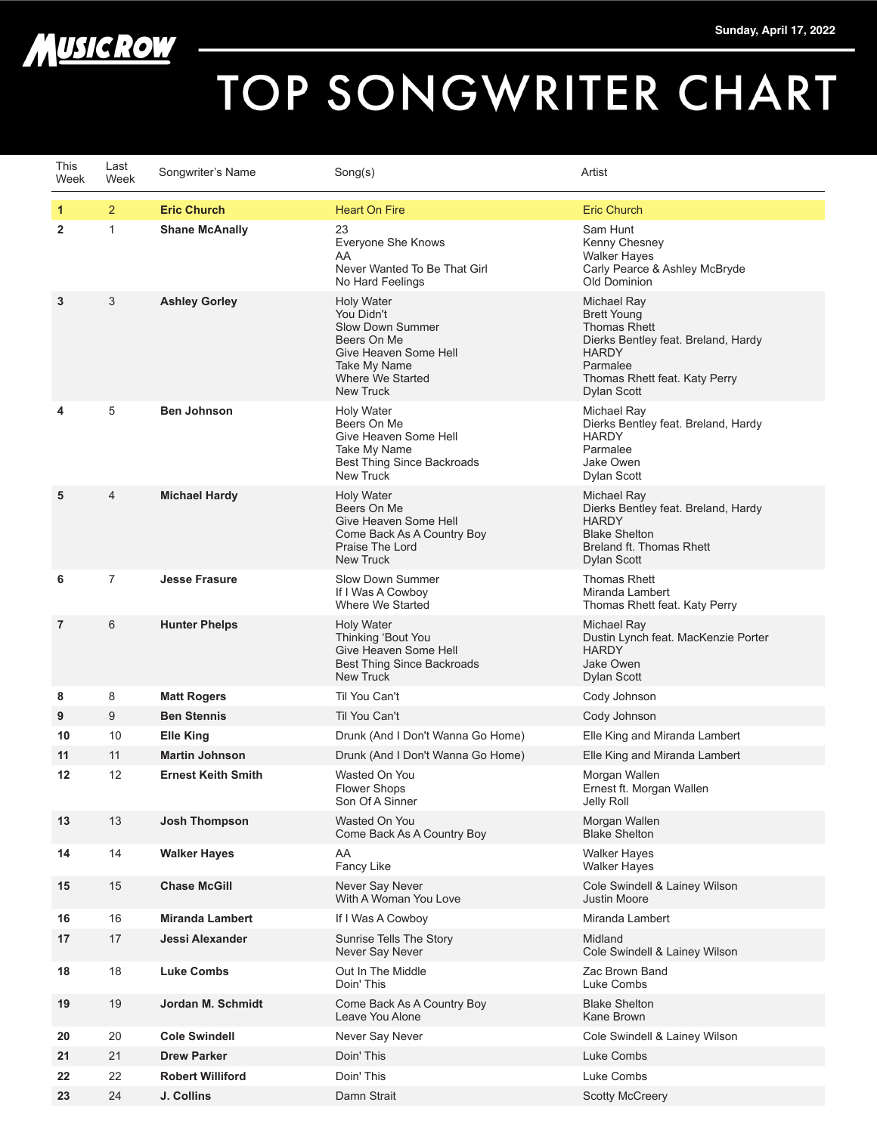

## TOP SONGWRITER CHART

| This<br>Week   | Last<br>Week   | Songwriter's Name         | Song(s)                                                                                                                                                    | Artist                                                                                                                                                                      |
|----------------|----------------|---------------------------|------------------------------------------------------------------------------------------------------------------------------------------------------------|-----------------------------------------------------------------------------------------------------------------------------------------------------------------------------|
| 1              | $\overline{2}$ | <b>Eric Church</b>        | <b>Heart On Fire</b>                                                                                                                                       | <b>Eric Church</b>                                                                                                                                                          |
| $\overline{2}$ | $\mathbf{1}$   | <b>Shane McAnally</b>     | 23<br>Everyone She Knows<br>AA<br>Never Wanted To Be That Girl<br>No Hard Feelings                                                                         | Sam Hunt<br>Kenny Chesney<br><b>Walker Hayes</b><br>Carly Pearce & Ashley McBryde<br>Old Dominion                                                                           |
| 3              | 3              | <b>Ashley Gorley</b>      | <b>Holy Water</b><br>You Didn't<br><b>Slow Down Summer</b><br>Beers On Me<br>Give Heaven Some Hell<br>Take My Name<br>Where We Started<br><b>New Truck</b> | Michael Ray<br><b>Brett Young</b><br><b>Thomas Rhett</b><br>Dierks Bentley feat. Breland, Hardy<br><b>HARDY</b><br>Parmalee<br>Thomas Rhett feat. Katy Perry<br>Dylan Scott |
| 4              | 5              | <b>Ben Johnson</b>        | <b>Holy Water</b><br>Beers On Me<br>Give Heaven Some Hell<br>Take My Name<br><b>Best Thing Since Backroads</b><br><b>New Truck</b>                         | Michael Ray<br>Dierks Bentley feat. Breland, Hardy<br><b>HARDY</b><br>Parmalee<br>Jake Owen<br>Dylan Scott                                                                  |
| 5              | 4              | <b>Michael Hardy</b>      | <b>Holy Water</b><br>Beers On Me<br>Give Heaven Some Hell<br>Come Back As A Country Boy<br>Praise The Lord<br><b>New Truck</b>                             | Michael Ray<br>Dierks Bentley feat. Breland, Hardy<br><b>HARDY</b><br><b>Blake Shelton</b><br>Breland ft. Thomas Rhett<br>Dylan Scott                                       |
| 6              | $\overline{7}$ | <b>Jesse Frasure</b>      | Slow Down Summer<br>If I Was A Cowboy<br>Where We Started                                                                                                  | <b>Thomas Rhett</b><br>Miranda Lambert<br>Thomas Rhett feat. Katy Perry                                                                                                     |
| 7              | 6              | <b>Hunter Phelps</b>      | <b>Holy Water</b><br>Thinking 'Bout You<br>Give Heaven Some Hell<br><b>Best Thing Since Backroads</b><br>New Truck                                         | Michael Ray<br>Dustin Lynch feat. MacKenzie Porter<br><b>HARDY</b><br>Jake Owen<br><b>Dylan Scott</b>                                                                       |
| 8              | 8              | <b>Matt Rogers</b>        | Til You Can't                                                                                                                                              | Cody Johnson                                                                                                                                                                |
| 9              | 9              | <b>Ben Stennis</b>        | Til You Can't                                                                                                                                              | Cody Johnson                                                                                                                                                                |
| 10             | 10             | <b>Elle King</b>          | Drunk (And I Don't Wanna Go Home)                                                                                                                          | Elle King and Miranda Lambert                                                                                                                                               |
| 11             | 11             | <b>Martin Johnson</b>     | Drunk (And I Don't Wanna Go Home)                                                                                                                          | Elle King and Miranda Lambert                                                                                                                                               |
| 12             | 12             | <b>Ernest Keith Smith</b> | Wasted On You<br><b>Flower Shops</b><br>Son Of A Sinner                                                                                                    | Morgan Wallen<br>Ernest ft. Morgan Wallen<br>Jelly Roll                                                                                                                     |
| 13             | 13             | <b>Josh Thompson</b>      | Wasted On You<br>Come Back As A Country Boy                                                                                                                | Morgan Wallen<br><b>Blake Shelton</b>                                                                                                                                       |
| 14             | 14             | <b>Walker Hayes</b>       | AA<br>Fancy Like                                                                                                                                           | <b>Walker Hayes</b><br><b>Walker Hayes</b>                                                                                                                                  |
| 15             | 15             | <b>Chase McGill</b>       | Never Say Never<br>With A Woman You Love                                                                                                                   | Cole Swindell & Lainey Wilson<br><b>Justin Moore</b>                                                                                                                        |
| 16             | 16             | <b>Miranda Lambert</b>    | If I Was A Cowboy                                                                                                                                          | Miranda Lambert                                                                                                                                                             |
| 17             | 17             | Jessi Alexander           | Sunrise Tells The Story<br>Never Say Never                                                                                                                 | Midland<br>Cole Swindell & Lainey Wilson                                                                                                                                    |
| 18             | 18             | <b>Luke Combs</b>         | Out In The Middle<br>Doin' This                                                                                                                            | Zac Brown Band<br>Luke Combs                                                                                                                                                |
| 19             | 19             | Jordan M. Schmidt         | Come Back As A Country Boy<br>Leave You Alone                                                                                                              | <b>Blake Shelton</b><br>Kane Brown                                                                                                                                          |
| 20             | 20             | <b>Cole Swindell</b>      | Never Say Never                                                                                                                                            | Cole Swindell & Lainey Wilson                                                                                                                                               |
| 21             | 21             | <b>Drew Parker</b>        | Doin' This                                                                                                                                                 | Luke Combs                                                                                                                                                                  |
| 22             | 22             | <b>Robert Williford</b>   | Doin' This                                                                                                                                                 | Luke Combs                                                                                                                                                                  |
| 23             | 24             | J. Collins                | Damn Strait                                                                                                                                                | <b>Scotty McCreery</b>                                                                                                                                                      |